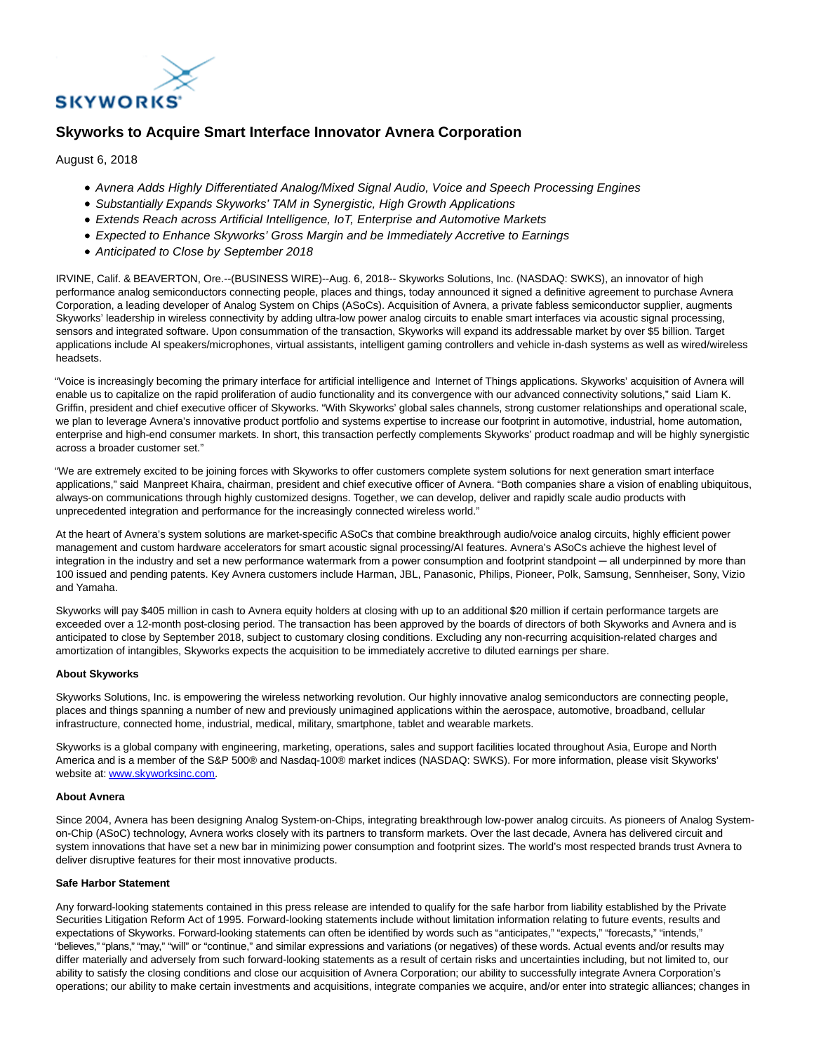

## **Skyworks to Acquire Smart Interface Innovator Avnera Corporation**

August 6, 2018

- Avnera Adds Highly Differentiated Analog/Mixed Signal Audio, Voice and Speech Processing Engines
- Substantially Expands Skyworks' TAM in Synergistic, High Growth Applications
- Extends Reach across Artificial Intelligence, IoT, Enterprise and Automotive Markets
- Expected to Enhance Skyworks' Gross Margin and be Immediately Accretive to Earnings
- Anticipated to Close by September 2018

IRVINE, Calif. & BEAVERTON, Ore.--(BUSINESS WIRE)--Aug. 6, 2018-- Skyworks Solutions, Inc. (NASDAQ: SWKS), an innovator of high performance analog semiconductors connecting people, places and things, today announced it signed a definitive agreement to purchase Avnera Corporation, a leading developer of Analog System on Chips (ASoCs). Acquisition of Avnera, a private fabless semiconductor supplier, augments Skyworks' leadership in wireless connectivity by adding ultra-low power analog circuits to enable smart interfaces via acoustic signal processing, sensors and integrated software. Upon consummation of the transaction, Skyworks will expand its addressable market by over \$5 billion. Target applications include AI speakers/microphones, virtual assistants, intelligent gaming controllers and vehicle in-dash systems as well as wired/wireless headsets.

"Voice is increasingly becoming the primary interface for artificial intelligence and Internet of Things applications. Skyworks' acquisition of Avnera will enable us to capitalize on the rapid proliferation of audio functionality and its convergence with our advanced connectivity solutions," said Liam K. Griffin, president and chief executive officer of Skyworks. "With Skyworks' global sales channels, strong customer relationships and operational scale, we plan to leverage Avnera's innovative product portfolio and systems expertise to increase our footprint in automotive, industrial, home automation, enterprise and high-end consumer markets. In short, this transaction perfectly complements Skyworks' product roadmap and will be highly synergistic across a broader customer set."

"We are extremely excited to be joining forces with Skyworks to offer customers complete system solutions for next generation smart interface applications," said Manpreet Khaira, chairman, president and chief executive officer of Avnera. "Both companies share a vision of enabling ubiquitous, always-on communications through highly customized designs. Together, we can develop, deliver and rapidly scale audio products with unprecedented integration and performance for the increasingly connected wireless world."

At the heart of Avnera's system solutions are market-specific ASoCs that combine breakthrough audio/voice analog circuits, highly efficient power management and custom hardware accelerators for smart acoustic signal processing/AI features. Avnera's ASoCs achieve the highest level of integration in the industry and set a new performance watermark from a power consumption and footprint standpoint ─ all underpinned by more than 100 issued and pending patents. Key Avnera customers include Harman, JBL, Panasonic, Philips, Pioneer, Polk, Samsung, Sennheiser, Sony, Vizio and Yamaha.

Skyworks will pay \$405 million in cash to Avnera equity holders at closing with up to an additional \$20 million if certain performance targets are exceeded over a 12-month post-closing period. The transaction has been approved by the boards of directors of both Skyworks and Avnera and is anticipated to close by September 2018, subject to customary closing conditions. Excluding any non-recurring acquisition-related charges and amortization of intangibles, Skyworks expects the acquisition to be immediately accretive to diluted earnings per share.

## **About Skyworks**

Skyworks Solutions, Inc. is empowering the wireless networking revolution. Our highly innovative analog semiconductors are connecting people, places and things spanning a number of new and previously unimagined applications within the aerospace, automotive, broadband, cellular infrastructure, connected home, industrial, medical, military, smartphone, tablet and wearable markets.

Skyworks is a global company with engineering, marketing, operations, sales and support facilities located throughout Asia, Europe and North America and is a member of the S&P 500® and Nasdaq-100® market indices (NASDAQ: SWKS). For more information, please visit Skyworks' website at[: www.skyworksinc.com.](http://cts.businesswire.com/ct/CT?id=smartlink&url=http%3A%2F%2Fwww.skyworksinc.com&esheet=51848403&newsitemid=20180806005171&lan=en-US&anchor=www.skyworksinc.com&index=1&md5=232df6468959f359241f0aed2bad6bbd)

## **About Avnera**

Since 2004, Avnera has been designing Analog System-on-Chips, integrating breakthrough low-power analog circuits. As pioneers of Analog Systemon-Chip (ASoC) technology, Avnera works closely with its partners to transform markets. Over the last decade, Avnera has delivered circuit and system innovations that have set a new bar in minimizing power consumption and footprint sizes. The world's most respected brands trust Avnera to deliver disruptive features for their most innovative products.

## **Safe Harbor Statement**

Any forward-looking statements contained in this press release are intended to qualify for the safe harbor from liability established by the Private Securities Litigation Reform Act of 1995. Forward-looking statements include without limitation information relating to future events, results and expectations of Skyworks. Forward-looking statements can often be identified by words such as "anticipates," "expects," "forecasts," "intends," "believes," "plans," "may," "will" or "continue," and similar expressions and variations (or negatives) of these words. Actual events and/or results may differ materially and adversely from such forward-looking statements as a result of certain risks and uncertainties including, but not limited to, our ability to satisfy the closing conditions and close our acquisition of Avnera Corporation; our ability to successfully integrate Avnera Corporation's operations; our ability to make certain investments and acquisitions, integrate companies we acquire, and/or enter into strategic alliances; changes in